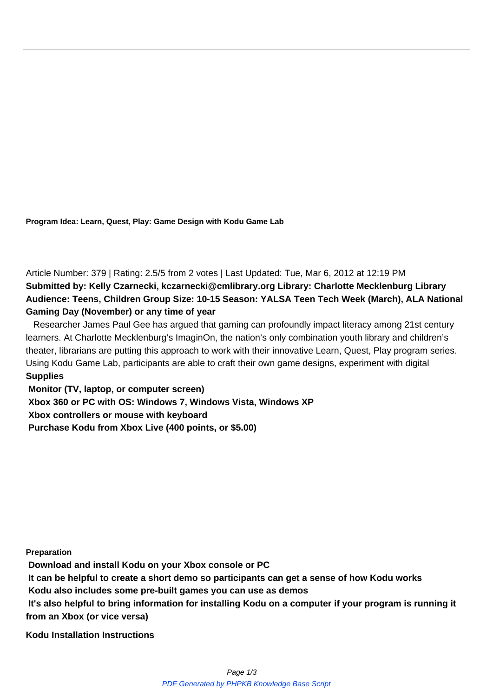**Program Idea: Learn, Quest, Play: Game Design with Kodu Game Lab**

Article Number: 379 | Rating: 2.5/5 from 2 votes | Last Updated: Tue, Mar 6, 2012 at 12:19 PM **Submitted by: Kelly Czarnecki, kczarnecki@cmlibrary.org Library: Charlotte Mecklenburg Library Audience: Teens, Children Group Size: 10-15 Season: YALSA Teen Tech Week (March), ALA National Gaming Day (November) or any time of year**

Researcher James Paul Gee has argued that gaming can profoundly impact literacy among 21st century learners. At Charlotte Mecklenburg's ImaginOn, the nation's only combination youth library and children's theater, librarians are putting this approach to work with their innovative Learn, Quest, Play program series. Using Kodu Game Lab, participants are able to craft their own game designs, experiment with digital  $Supplies$ **Supplies**

**Monitor (TV, laptop, or computer screen) Xbox 360 or PC with OS: Windows 7, Windows Vista, Windows XP Xbox controllers or mouse with keyboard Purchase Kodu from Xbox Live (400 points, or \$5.00)**

**Preparation**

**Download and install Kodu on your Xbox console or PC**

**It can be helpful to create a short demo so participants can get a sense of how Kodu works**

**Kodu also includes some pre-built games you can use as demos**

**It's also helpful to bring information for installing Kodu on a computer if your program is running it from an Xbox (or vice versa)**

**Kodu Installation Instructions**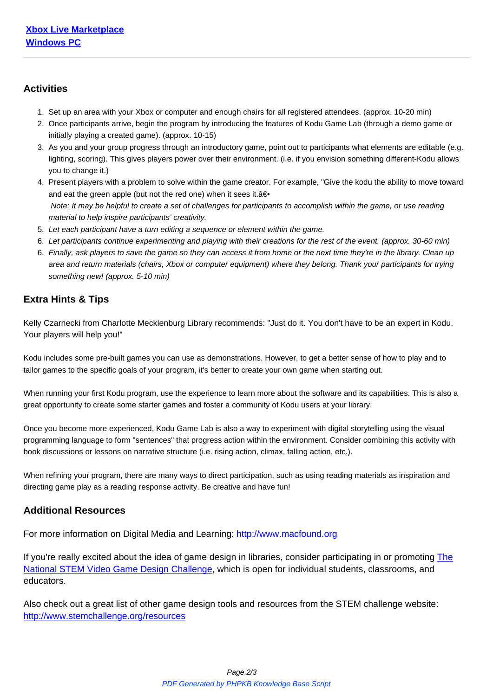

## **[Activities](http://www.microsoft.com/download/en/details.aspx?displaylang=en&id=10056)**

- 1. Set up an area with your Xbox or computer and enough chairs for all registered attendees. (approx. 10-20 min)
- 2. Once participants arrive, begin the program by introducing the features of Kodu Game Lab (through a demo game or initially playing a created game). (approx. 10-15)
- 3. As you and your group progress through an introductory game, point out to participants what elements are editable (e.g. lighting, scoring). This gives players power over their environment. (i.e. if you envision something different-Kodu allows you to change it.)
- 4. Present players with a problem to solve within the game creator. For example, "Give the kodu the ability to move toward and eat the green apple (but not the red one) when it sees it.  $a \in \cdot$  Note: It may be helpful to create a set of challenges for participants to accomplish within the game, or use reading material to help inspire participants' creativity.
- 5. Let each participant have a turn editing a sequence or element within the game.
- 6. Let participants continue experimenting and playing with their creations for the rest of the event. (approx. 30-60 min)
- 6. Finally, ask players to save the game so they can access it from home or the next time they're in the library. Clean up area and return materials (chairs, Xbox or computer equipment) where they belong. Thank your participants for trying something new! (approx. 5-10 min)

## **Extra Hints & Tips**

Kelly Czarnecki from Charlotte Mecklenburg Library recommends: "Just do it. You don't have to be an expert in Kodu. Your players will help you!"

Kodu includes some pre-built games you can use as demonstrations. However, to get a better sense of how to play and to tailor games to the specific goals of your program, it's better to create your own game when starting out.

When running your first Kodu program, use the experience to learn more about the software and its capabilities. This is also a great opportunity to create some starter games and foster a community of Kodu users at your library.

Once you become more experienced, Kodu Game Lab is also a way to experiment with digital storytelling using the visual programming language to form "sentences" that progress action within the environment. Consider combining this activity with book discussions or lessons on narrative structure (i.e. rising action, climax, falling action, etc.).

When refining your program, there are many ways to direct participation, such as using reading materials as inspiration and directing game play as a reading response activity. Be creative and have fun!

## **Additional Resources**

For more information on Digital Media and Learning: http://www.macfound.org

If you're really excited about the idea of game design in libraries, consider participating in or promoting The National STEM Video Game Design Challenge, whic[h is open for individual stu](http://www.macfound.org)dents, classrooms, and educators.

[Also check out a great list of other game design](http://www.stemchallenge.org) tools and resources from the STEM challenge website[:](http://www.stemchallenge.org) http://www.stemchallenge.org/resources